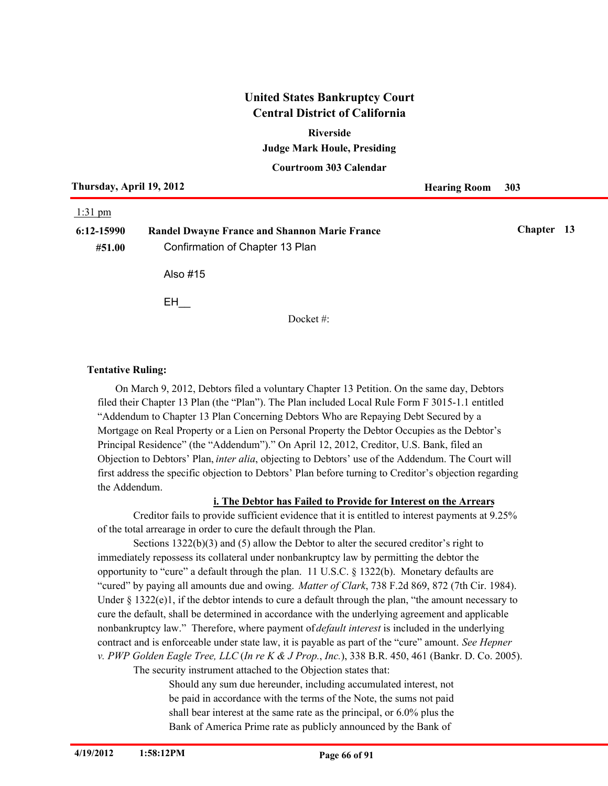#### **Riverside**

**Judge Mark Houle, Presiding**

**Courtroom 303 Calendar**

| Thursday, April 19, 2012 |                                                      | <b>Hearing Room</b> | 303        |  |
|--------------------------|------------------------------------------------------|---------------------|------------|--|
| $1:31$ pm                |                                                      |                     |            |  |
| 6:12-15990               | <b>Randel Dwayne France and Shannon Marie France</b> |                     | Chapter 13 |  |
| #51.00                   | Confirmation of Chapter 13 Plan                      |                     |            |  |
|                          | Also #15                                             |                     |            |  |
|                          | EH                                                   |                     |            |  |
|                          | Docket $\#$                                          |                     |            |  |

#### **Tentative Ruling:**

On March 9, 2012, Debtors filed a voluntary Chapter 13 Petition. On the same day, Debtors filed their Chapter 13 Plan (the "Plan"). The Plan included Local Rule Form F 3015-1.1 entitled "Addendum to Chapter 13 Plan Concerning Debtors Who are Repaying Debt Secured by a Mortgage on Real Property or a Lien on Personal Property the Debtor Occupies as the Debtor's Principal Residence" (the "Addendum")." On April 12, 2012, Creditor, U.S. Bank, filed an Objection to Debtors' Plan, *inter alia*, objecting to Debtors' use of the Addendum. The Court will first address the specific objection to Debtors' Plan before turning to Creditor's objection regarding the Addendum.

#### **i. The Debtor has Failed to Provide for Interest on the Arrears**

Creditor fails to provide sufficient evidence that it is entitled to interest payments at 9.25% of the total arrearage in order to cure the default through the Plan.

Sections 1322(b)(3) and (5) allow the Debtor to alter the secured creditor's right to immediately repossess its collateral under nonbankruptcy law by permitting the debtor the opportunity to "cure" a default through the plan. 11 U.S.C. § 1322(b). Monetary defaults are "cured" by paying all amounts due and owing. *Matter of Clark*, 738 F.2d 869, 872 (7th Cir. 1984). Under  $\S 1322(e)1$ , if the debtor intends to cure a default through the plan, "the amount necessary to cure the default, shall be determined in accordance with the underlying agreement and applicable nonbankruptcy law." Therefore, where payment of *default interest* is included in the underlying contract and is enforceable under state law, it is payable as part of the "cure" amount. *See Hepner v. PWP Golden Eagle Tree, LLC* (*In re K & J Prop.*, *Inc.*), 338 B.R. 450, 461 (Bankr. D. Co. 2005).

The security instrument attached to the Objection states that:

Should any sum due hereunder, including accumulated interest, not be paid in accordance with the terms of the Note, the sums not paid shall bear interest at the same rate as the principal, or 6.0% plus the Bank of America Prime rate as publicly announced by the Bank of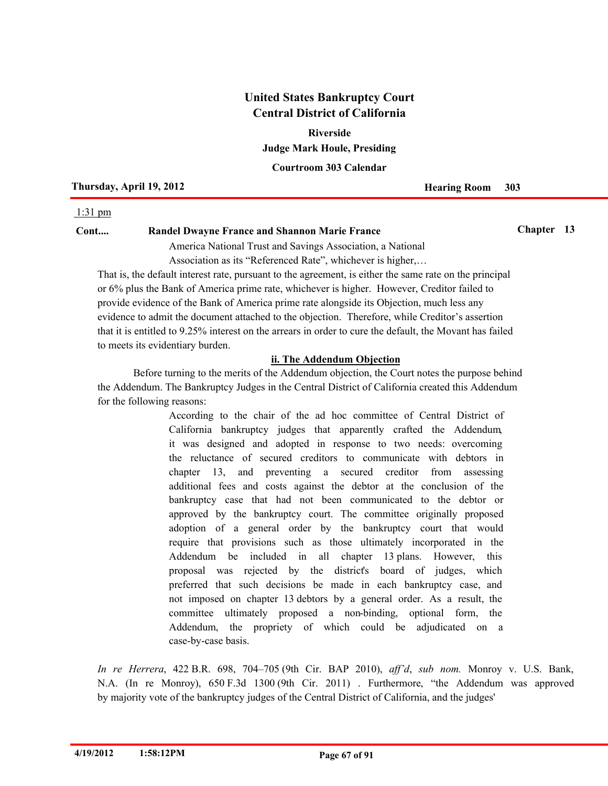**Judge Mark Houle, Presiding Riverside**

**Courtroom 303 Calendar**

#### **Thursday, April 19, 2012 Hearing Room** 303

#### 1:31 pm

## **Cont.... Randel Dwayne France and Shannon Marie France Chapter 13**

America National Trust and Savings Association, a National Association as its "Referenced Rate", whichever is higher,…

That is, the default interest rate, pursuant to the agreement, is either the same rate on the principal or 6% plus the Bank of America prime rate, whichever is higher. However, Creditor failed to provide evidence of the Bank of America prime rate alongside its Objection, much less any evidence to admit the document attached to the objection. Therefore, while Creditor's assertion that it is entitled to 9.25% interest on the arrears in order to cure the default, the Movant has failed to meets its evidentiary burden.

## **ii. The Addendum Objection**

Before turning to the merits of the Addendum objection, the Court notes the purpose behind the Addendum. The Bankruptcy Judges in the Central District of California created this Addendum for the following reasons:

> According to the chair of the ad hoc committee of Central District of California bankruptcy judges that apparently crafted the Addendum, it was designed and adopted in response to two needs: overcoming the reluctance of secured creditors to communicate with debtors in chapter 13, and preventing a secured creditor from assessing additional fees and costs against the debtor at the conclusion of the bankruptcy case that had not been communicated to the debtor or approved by the bankruptcy court. The committee originally proposed adoption of a general order by the bankruptcy court that would require that provisions such as those ultimately incorporated in the Addendum be included in all chapter 13 plans. However, this proposal was rejected by the district's board of judges, which preferred that such decisions be made in each bankruptcy case, and not imposed on chapter 13 debtors by a general order. As a result, the committee ultimately proposed a non-binding, optional form, the Addendum, the propriety of which could be adjudicated on a case-by-case basis.

*In re Herrera*, 422 B.R. 698, 704–705 (9th Cir. BAP 2010), *aff'd*, *sub nom.* Monroy v. U.S. Bank, N.A. (In re Monroy), 650 F.3d 1300 (9th Cir. 2011) . Furthermore, "the Addendum was approved by majority vote of the bankruptcy judges of the Central District of California, and the judges'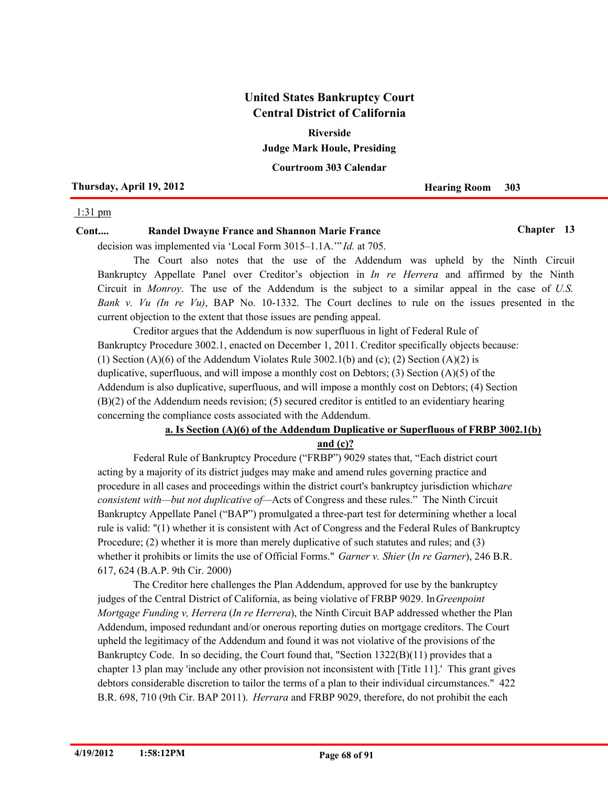**Judge Mark Houle, Presiding Riverside**

**Courtroom 303 Calendar**

**Thursday, April 19, 2012 Hearing Room** 303

#### 1:31 pm

## **Cont.... Randel Dwayne France and Shannon Marie France Chapter 13**

decision was implemented via 'Local Form 3015–1.1A.'" *Id.* at 705.

The Court also notes that the use of the Addendum was upheld by the Ninth Circuit Bankruptcy Appellate Panel over Creditor's objection in *In re Herrera* and affirmed by the Ninth Circuit in *Monroy*. The use of the Addendum is the subject to a similar appeal in the case of *U.S. Bank v. Vu (In re Vu)*, BAP No. 10-1332. The Court declines to rule on the issues presented in the current objection to the extent that those issues are pending appeal.

Creditor argues that the Addendum is now superfluous in light of Federal Rule of Bankruptcy Procedure 3002.1, enacted on December 1, 2011. Creditor specifically objects because: (1) Section (A)(6) of the Addendum Violates Rule 3002.1(b) and (c); (2) Section (A)(2) is duplicative, superfluous, and will impose a monthly cost on Debtors; (3) Section (A)(5) of the Addendum is also duplicative, superfluous, and will impose a monthly cost on Debtors; (4) Section (B)(2) of the Addendum needs revision; (5) secured creditor is entitled to an evidentiary hearing concerning the compliance costs associated with the Addendum.

## **a. Is Section (A)(6) of the Addendum Duplicative or Superfluous of FRBP 3002.1(b) and (c)?**

Federal Rule of Bankruptcy Procedure ("FRBP") 9029 states that, "Each district court acting by a majority of its district judges may make and amend rules governing practice and procedure in all cases and proceedings within the district court's bankruptcy jurisdiction which *are consistent with—but not duplicative of—*Acts of Congress and these rules." The Ninth Circuit Bankruptcy Appellate Panel ("BAP") promulgated a three-part test for determining whether a local rule is valid: "(1) whether it is consistent with Act of Congress and the Federal Rules of Bankruptcy Procedure; (2) whether it is more than merely duplicative of such statutes and rules; and (3) whether it prohibits or limits the use of Official Forms." *Garner v. Shier* (*In re Garner*), 246 B.R. 617, 624 (B.A.P. 9th Cir. 2000)

The Creditor here challenges the Plan Addendum, approved for use by the bankruptcy judges of the Central District of California, as being violative of FRBP 9029. In *Greenpoint Mortgage Funding v, Herrera* (*In re Herrera*), the Ninth Circuit BAP addressed whether the Plan Addendum, imposed redundant and/or onerous reporting duties on mortgage creditors. The Court upheld the legitimacy of the Addendum and found it was not violative of the provisions of the Bankruptcy Code. In so deciding, the Court found that, "Section 1322(B)(11) provides that a chapter 13 plan may 'include any other provision not inconsistent with [Title 11].' This grant gives debtors considerable discretion to tailor the terms of a plan to their individual circumstances." 422 B.R. 698, 710 (9th Cir. BAP 2011). *Herrara* and FRBP 9029, therefore, do not prohibit the each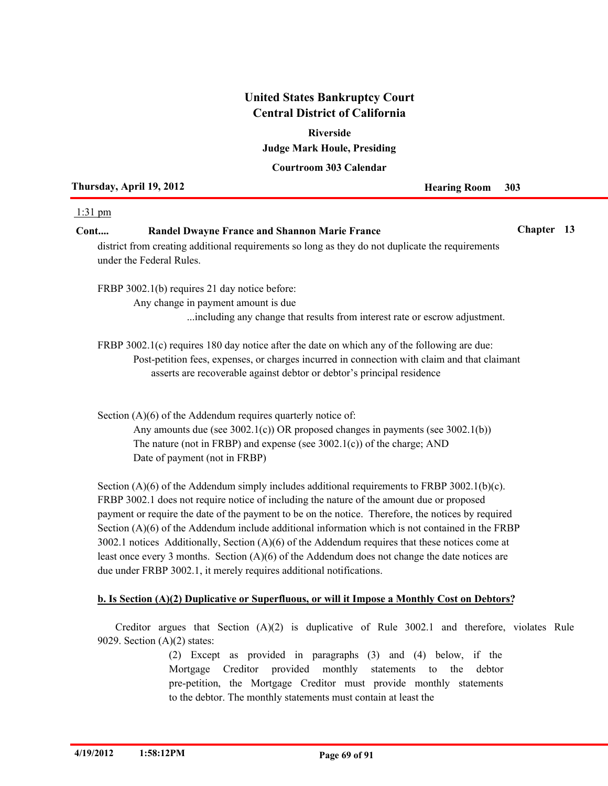# **Judge Mark Houle, Presiding Riverside**

## **Courtroom 303 Calendar**

| Thursday, April 19, 2012 |                                                                                                                              | <b>Hearing Room</b> | 303        |  |
|--------------------------|------------------------------------------------------------------------------------------------------------------------------|---------------------|------------|--|
| $1:31 \text{ pm}$        |                                                                                                                              |                     |            |  |
| Cont                     | <b>Randel Dwayne France and Shannon Marie France</b>                                                                         |                     | Chapter 13 |  |
|                          | district from creating additional requirements so long as they do not duplicate the requirements<br>under the Federal Rules. |                     |            |  |
|                          | FRBP 3002.1(b) requires 21 day notice before:                                                                                |                     |            |  |
|                          | Any change in payment amount is due                                                                                          |                     |            |  |

FRBP 3002.1(c) requires 180 day notice after the date on which any of the following are due: Post-petition fees, expenses, or charges incurred in connection with claim and that claimant

...including any change that results from interest rate or escrow adjustment.

asserts are recoverable against debtor or debtor's principal residence

Section (A)(6) of the Addendum requires quarterly notice of: Any amounts due (see 3002.1(c)) OR proposed changes in payments (see 3002.1(b)) The nature (not in FRBP) and expense (see 3002.1(c)) of the charge; AND Date of payment (not in FRBP)

Section  $(A)(6)$  of the Addendum simply includes additional requirements to FRBP 3002.1(b)(c). FRBP 3002.1 does not require notice of including the nature of the amount due or proposed payment or require the date of the payment to be on the notice. Therefore, the notices by required Section (A)(6) of the Addendum include additional information which is not contained in the FRBP 3002.1 notices Additionally, Section (A)(6) of the Addendum requires that these notices come at least once every 3 months. Section (A)(6) of the Addendum does not change the date notices are due under FRBP 3002.1, it merely requires additional notifications.

## **b. Is Section (A)(2) Duplicative or Superfluous, or will it Impose a Monthly Cost on Debtors?**

Creditor argues that Section (A)(2) is duplicative of Rule 3002.1 and therefore, violates Rule 9029. Section  $(A)(2)$  states:

> (2) Except as provided in paragraphs (3) and (4) below, if the Mortgage Creditor provided monthly statements to the debtor pre-petition, the Mortgage Creditor must provide monthly statements to the debtor. The monthly statements must contain at least the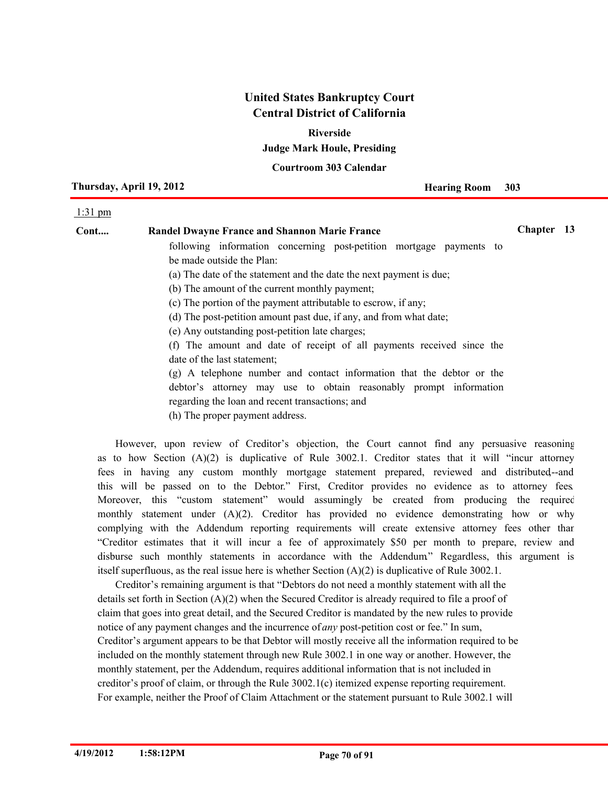**Riverside**

**Judge Mark Houle, Presiding**

**Courtroom 303 Calendar**

**Thursday, April 19, 2012 Hearing Room** 303

#### 1:31 pm

| Cont | <b>Randel Dwayne France and Shannon Marie France</b>                  | Chapter 13 |  |
|------|-----------------------------------------------------------------------|------------|--|
|      | following information concerning post-petition mortgage payments to   |            |  |
|      | be made outside the Plan:                                             |            |  |
|      | (a) The date of the statement and the date the next payment is due;   |            |  |
|      | (b) The amount of the current monthly payment;                        |            |  |
|      | (c) The portion of the payment attributable to escrow, if any;        |            |  |
|      | (d) The post-petition amount past due, if any, and from what date;    |            |  |
|      | (e) Any outstanding post-petition late charges;                       |            |  |
|      | (f) The amount and date of receipt of all payments received since the |            |  |
|      | date of the last statement;                                           |            |  |
|      | (g) A telephone number and contact information that the debtor or the |            |  |
|      | debtor's attorney may use to obtain reasonably prompt information     |            |  |
|      | regarding the loan and recent transactions; and                       |            |  |
|      | (h) The proper payment address.                                       |            |  |
|      |                                                                       |            |  |

However, upon review of Creditor's objection, the Court cannot find any persuasive reasoning as to how Section  $(A)(2)$  is duplicative of Rule 3002.1. Creditor states that it will "incur attorney" fees in having any custom monthly mortgage statement prepared, reviewed and distributed,--and this will be passed on to the Debtor." First, Creditor provides no evidence as to attorney fees. Moreover, this "custom statement" would assumingly be created from producing the required monthly statement under (A)(2). Creditor has provided no evidence demonstrating how or why complying with the Addendum reporting requirements will create extensive attorney fees other than "Creditor estimates that it will incur a fee of approximately \$50 per month to prepare, review and disburse such monthly statements in accordance with the Addendum." Regardless, this argument is itself superfluous, as the real issue here is whether Section  $(A)(2)$  is duplicative of Rule 3002.1.

Creditor's remaining argument is that "Debtors do not need a monthly statement with all the details set forth in Section (A)(2) when the Secured Creditor is already required to file a proof of claim that goes into great detail, and the Secured Creditor is mandated by the new rules to provide notice of any payment changes and the incurrence of *any* post-petition cost or fee." In sum, Creditor's argument appears to be that Debtor will mostly receive all the information required to be included on the monthly statement through new Rule 3002.1 in one way or another. However, the monthly statement, per the Addendum, requires additional information that is not included in creditor's proof of claim, or through the Rule 3002.1(c) itemized expense reporting requirement. For example, neither the Proof of Claim Attachment or the statement pursuant to Rule 3002.1 will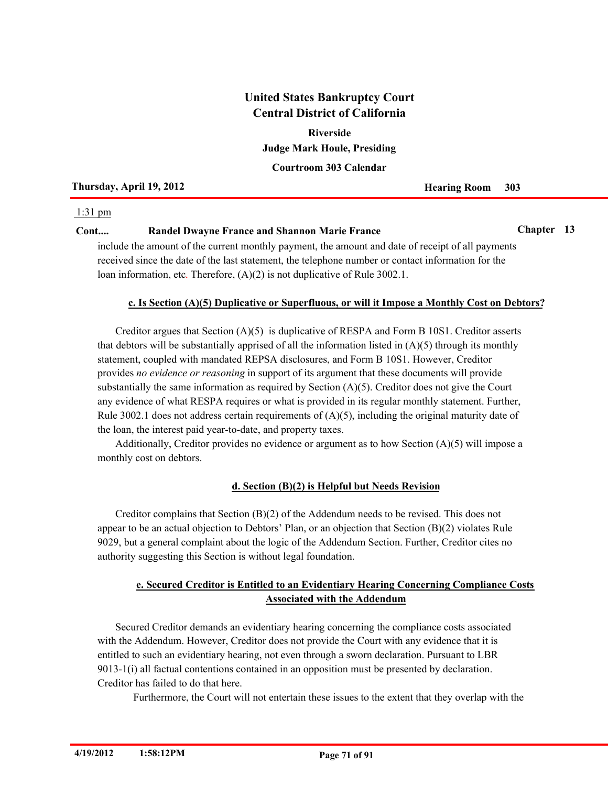**Judge Mark Houle, Presiding Riverside**

**Courtroom 303 Calendar**

## **Thursday, April 19, 2012 Hearing Room** 303

## 1:31 pm

## **Cont.... Randel Dwayne France and Shannon Marie France Chapter 13**

include the amount of the current monthly payment, the amount and date of receipt of all payments received since the date of the last statement, the telephone number or contact information for the loan information, etc. Therefore,  $(A)(2)$  is not duplicative of Rule 3002.1.

## **c. Is Section (A)(5) Duplicative or Superfluous, or will it Impose a Monthly Cost on Debtors?**

Creditor argues that Section (A)(5) is duplicative of RESPA and Form B 10S1. Creditor asserts that debtors will be substantially apprised of all the information listed in  $(A)(5)$  through its monthly statement, coupled with mandated REPSA disclosures, and Form B 10S1. However, Creditor provides *no evidence or reasoning* in support of its argument that these documents will provide substantially the same information as required by Section (A)(5). Creditor does not give the Court any evidence of what RESPA requires or what is provided in its regular monthly statement. Further, Rule 3002.1 does not address certain requirements of  $(A)(5)$ , including the original maturity date of the loan, the interest paid year-to-date, and property taxes.

Additionally, Creditor provides no evidence or argument as to how Section  $(A)(5)$  will impose a monthly cost on debtors.

## **d. Section (B)(2) is Helpful but Needs Revision**

Creditor complains that Section  $(B)(2)$  of the Addendum needs to be revised. This does not appear to be an actual objection to Debtors' Plan, or an objection that Section (B)(2) violates Rule 9029, but a general complaint about the logic of the Addendum Section. Further, Creditor cites no authority suggesting this Section is without legal foundation.

## **e. Secured Creditor is Entitled to an Evidentiary Hearing Concerning Compliance Costs Associated with the Addendum**

Secured Creditor demands an evidentiary hearing concerning the compliance costs associated with the Addendum. However, Creditor does not provide the Court with any evidence that it is entitled to such an evidentiary hearing, not even through a sworn declaration. Pursuant to LBR 9013-1(i) all factual contentions contained in an opposition must be presented by declaration. Creditor has failed to do that here.

Furthermore, the Court will not entertain these issues to the extent that they overlap with the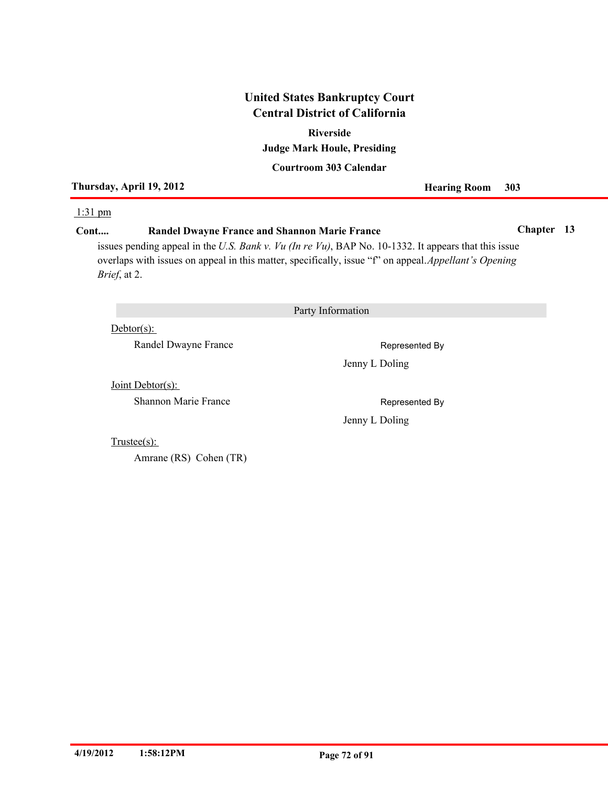# **Judge Mark Houle, Presiding Riverside**

## **Courtroom 303 Calendar**

**Thursday, April 19, 2012 Hearing Room 303**

#### 1:31 pm

## **Cont.... Randel Dwayne France and Shannon Marie France Chapter 13**

issues pending appeal in the *U.S. Bank v. Vu (In re Vu)*, BAP No. 10-1332. It appears that this issue overlaps with issues on appeal in this matter, specifically, issue "f" on appeal. *Appellant's Opening Brief*, at 2.

Party Information

Debtor(s):

Randel Dwayne France Represented By

Jenny L Doling

Joint Debtor(s):

Shannon Marie France **Represented By** 

Jenny L Doling

Trustee(s):

Amrane (RS) Cohen (TR)